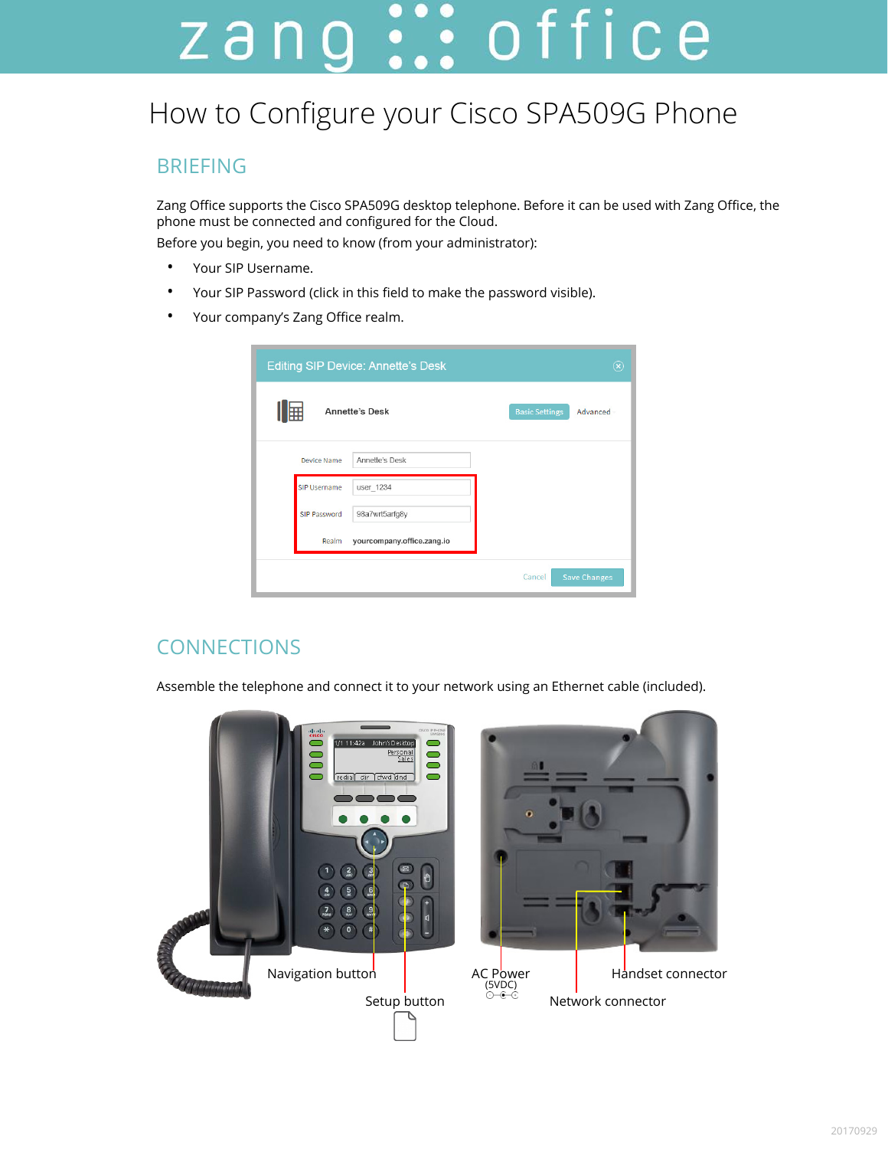# zang ::: office

## How to Configure your Cisco SPA509G Phone

#### BRIEFING

Zang Office supports the Cisco SPA509G desktop telephone. Before it can be used with Zang Office, the phone must be connected and configured for the Cloud.

Before you begin, you need to know (from your administrator):

- Your SIP Username.
- Your SIP Password (click in this field to make the password visible).
- Your company's Zang Office realm.

|                     | <b>Editing SIP Device: Annette's Desk</b> |                       | $(\widehat{\mathsf{x}})$ |
|---------------------|-------------------------------------------|-----------------------|--------------------------|
| Ⅲ用                  | <b>Annette's Desk</b>                     | <b>Basic Settings</b> | Advanced                 |
| Device Name         | Annette's Desk                            |                       |                          |
| <b>SIP Username</b> | user_1234                                 |                       |                          |
| SIP Password        | 98a7wrt5arfg8y                            |                       |                          |
| Realm               | yourcompany.office.zang.io                |                       |                          |
|                     |                                           | Cancel                | <b>Save Changes</b>      |

### **CONNECTIONS**

Assemble the telephone and connect it to your network using an Ethernet cable (included).

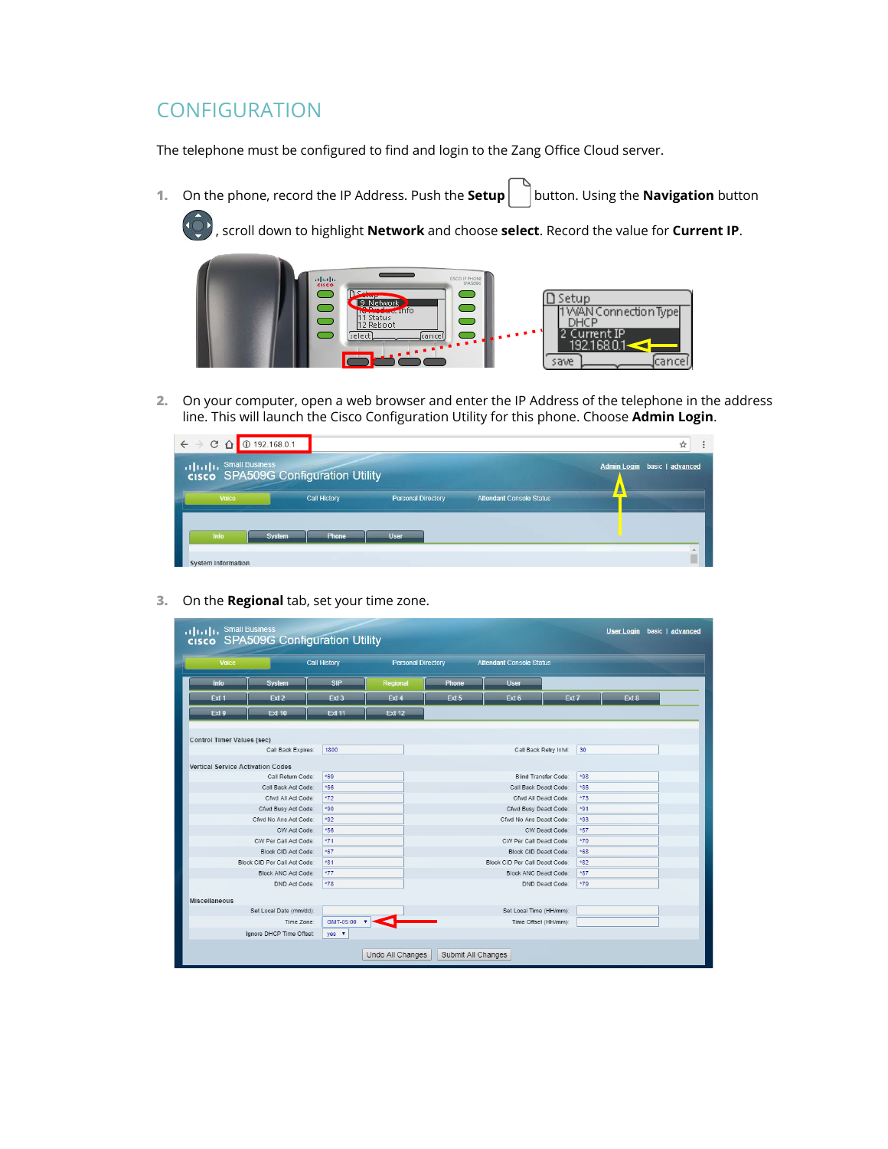#### **CONFIGURATION**

The telephone must be configured to find and login to the Zang Office Cloud server.

**1.** On the phone, record the IP Address. Push the **Setup** | button. Using the **Navigation** button

, scroll down to highlight **Network** and choose **select**. Record the value for **Current IP**.



**2.** On your computer, open a web browser and enter the IP Address of the telephone in the address line. This will launch the Cisco Configuration Utility for this phone. Choose **Admin Login**.

| <b>C</b> 192.168.0.1<br>$C$ $\Omega$<br>$\leftarrow$<br>$\rightarrow$ |                                                                             |                           |                                 | ☆                                      |
|-----------------------------------------------------------------------|-----------------------------------------------------------------------------|---------------------------|---------------------------------|----------------------------------------|
| <b>Small Business</b>                                                 | <b>That In Small Business</b><br><b>CISCO</b> SPA509G Configuration Utility |                           |                                 | basic   advanced<br><b>Admin Login</b> |
| Voice                                                                 | <b>Call History</b>                                                         | <b>Personal Directory</b> | <b>Attendant Console Status</b> |                                        |
|                                                                       |                                                                             |                           |                                 |                                        |
| Info                                                                  | <b>System</b><br>Phone                                                      | <b>User</b>               |                                 |                                        |
| <b>System Information</b>                                             |                                                                             |                           |                                 |                                        |

**3.** On the **Regional** tab, set your time zone.

| Voice                             |                              | <b>Call History</b>       | <b>Personal Directory</b> |       | <b>Attendant Console Status</b> |       |       |       |  |
|-----------------------------------|------------------------------|---------------------------|---------------------------|-------|---------------------------------|-------|-------|-------|--|
| Info                              | <b>System</b>                | <b>SIP</b>                | Regional                  | Phone | <b>User</b>                     |       |       |       |  |
| Ext 1                             | Ext <sub>2</sub>             | Ext <sub>3</sub>          | Ext 4                     | Ext 5 | Ext 6                           | Ext 7 |       | Ext 8 |  |
| Ext 9                             | <b>Ext 10</b>                | <b>Ext 11</b>             | <b>Ext 12</b>             |       |                                 |       |       |       |  |
|                                   |                              |                           |                           |       |                                 |       |       |       |  |
| <b>Control Timer Values (sec)</b> | Call Back Expires:           | 1800                      |                           |       | Call Back Retry Intvl:          |       | 30    |       |  |
|                                   |                              |                           |                           |       |                                 |       |       |       |  |
| Vertical Service Activation Codes | Call Return Code:            | *69                       |                           |       | Blind Transfer Code:            |       | *98   |       |  |
|                                   | Call Back Act Code:          | *66                       |                           |       | Call Back Deact Code:           |       | *86   |       |  |
|                                   | Cfwd All Act Code:           | *72                       |                           |       | Cfwd All Deact Code:            |       | *73   |       |  |
|                                   | Cfwd Busy Act Code:          | *90                       |                           |       | Cfwd Busy Deact Code:           |       | $*91$ |       |  |
|                                   | Cfwd No Ans Act Code:        | *92                       |                           |       | Cfwd No Ans Deact Code:         |       | *93   |       |  |
|                                   | CW Act Code:                 | *56                       |                           |       | CW Deact Code:                  |       | *57   |       |  |
|                                   | CW Per Call Act Code:        | $*71$                     |                           |       | CW Per Call Deact Code:         |       | $*70$ |       |  |
|                                   | Block CID Act Code:          | *67                       |                           |       | Block CID Deact Code:           |       | *68   |       |  |
|                                   | Block CID Per Call Act Code: | *81                       |                           |       | Block CID Per Call Deact Code:  |       | *82   |       |  |
|                                   | Block ANC Act Code:          | $*77$                     |                           |       | <b>Block ANC Deact Code:</b>    |       | *87   |       |  |
|                                   | DND Act Code:                | *78                       |                           |       | DND Deact Code:                 |       | $*79$ |       |  |
| <b>Miscellaneous</b>              |                              |                           |                           |       |                                 |       |       |       |  |
|                                   | Set Local Date (mm/dd):      |                           |                           |       | Set Local Time (HH/mm):         |       |       |       |  |
|                                   | Time Zone:                   | GMT-05:00<br>$\mathbf{v}$ |                           |       | Time Offset (HH/mm):            |       |       |       |  |
|                                   | Ignore DHCP Time Offset:     | $yes \t\t\t\t\t\t\tv$     |                           |       |                                 |       |       |       |  |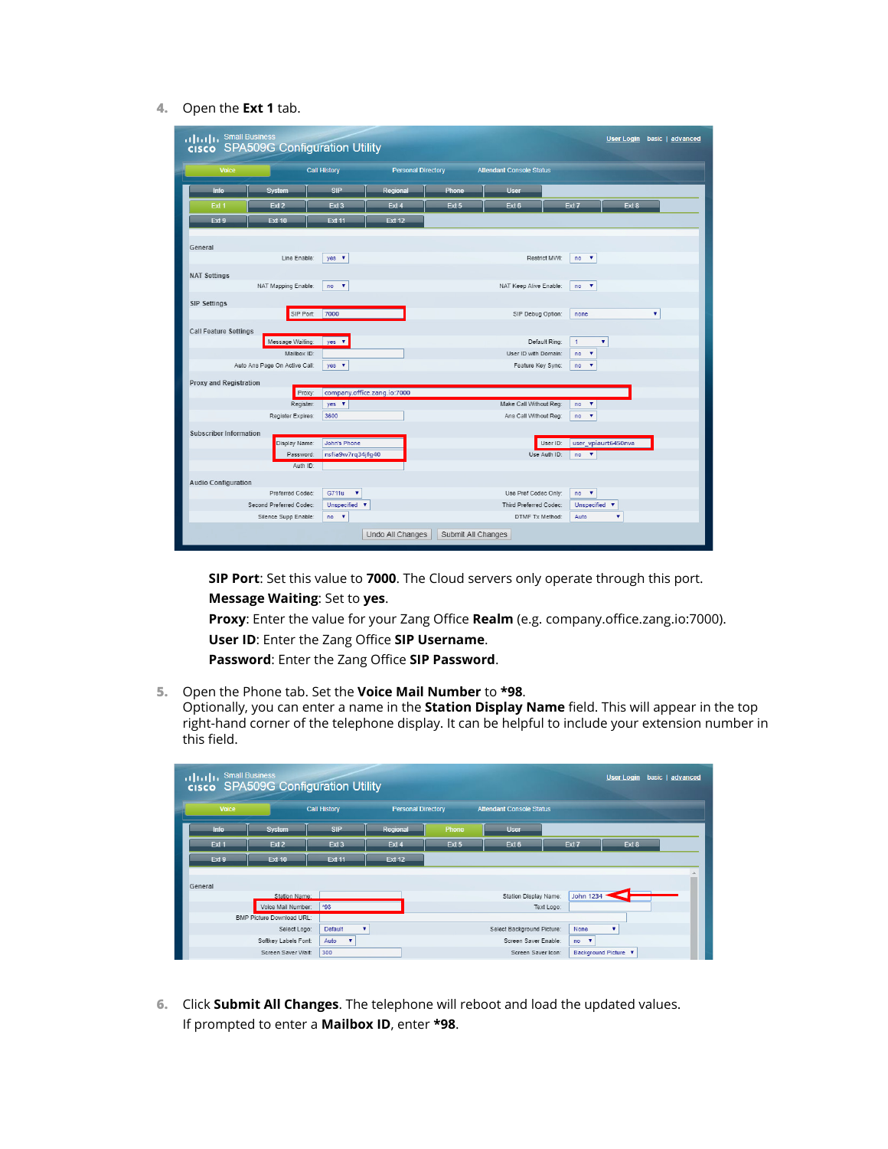#### **4.** Open the **Ext 1** tab.

| $\frac{1}{2}$ $\frac{1}{2}$ $\frac{1}{2}$ $\frac{1}{2}$ $\frac{1}{2}$ $\frac{1}{2}$ $\frac{1}{2}$ $\frac{1}{2}$ $\frac{1}{2}$ $\frac{1}{2}$ $\frac{1}{2}$ $\frac{1}{2}$ $\frac{1}{2}$ $\frac{1}{2}$ $\frac{1}{2}$ $\frac{1}{2}$ $\frac{1}{2}$ $\frac{1}{2}$ $\frac{1}{2}$ $\frac{1}{2}$ $\frac{1}{2}$ $\frac{1}{2}$<br>cisco SPA509G Configuration Utility |                                                 |                                   |                             |                    |                                                  |                               |                     | <b>User Login</b> basic   advanced |
|------------------------------------------------------------------------------------------------------------------------------------------------------------------------------------------------------------------------------------------------------------------------------------------------------------------------------------------------------------|-------------------------------------------------|-----------------------------------|-----------------------------|--------------------|--------------------------------------------------|-------------------------------|---------------------|------------------------------------|
| <b>Voice</b>                                                                                                                                                                                                                                                                                                                                               |                                                 | <b>Call History</b>               | <b>Personal Directory</b>   |                    | <b>Attendant Console Status</b>                  |                               |                     |                                    |
| Info                                                                                                                                                                                                                                                                                                                                                       | <b>System</b>                                   | <b>SIP</b>                        | Regional                    | Phone              | <b>User</b>                                      |                               |                     |                                    |
| Ext 1                                                                                                                                                                                                                                                                                                                                                      | Fxt <sub>2</sub>                                | Fxt 3                             | Ext 4                       | Ext 5              | Ext 6                                            | Ext <sub>7</sub>              | Ext 8               |                                    |
| Ext 9                                                                                                                                                                                                                                                                                                                                                      | <b>Ext 10</b>                                   | <b>Ext 11</b>                     | <b>Ext 12</b>               |                    |                                                  |                               |                     |                                    |
| General                                                                                                                                                                                                                                                                                                                                                    |                                                 |                                   |                             |                    |                                                  |                               |                     |                                    |
|                                                                                                                                                                                                                                                                                                                                                            | Line Enable:                                    | $yes \t v$                        |                             |                    |                                                  | Restrict MWI:<br>$no \t v$    |                     |                                    |
| <b>NAT Settings</b>                                                                                                                                                                                                                                                                                                                                        |                                                 |                                   |                             |                    |                                                  |                               |                     |                                    |
|                                                                                                                                                                                                                                                                                                                                                            | NAT Mapping Enable:                             | $no \t v$                         |                             |                    | NAT Keep Alive Enable:                           | $no \t v$                     |                     |                                    |
| <b>SIP Settings</b>                                                                                                                                                                                                                                                                                                                                        |                                                 |                                   |                             |                    |                                                  |                               |                     |                                    |
|                                                                                                                                                                                                                                                                                                                                                            | SIP Port:                                       | 7000                              |                             |                    | SIP Debug Option:                                | none                          |                     | ۷                                  |
| <b>Call Feature Settings</b>                                                                                                                                                                                                                                                                                                                               |                                                 |                                   |                             |                    |                                                  |                               |                     |                                    |
|                                                                                                                                                                                                                                                                                                                                                            | Message Waiting:                                | yes $\mathbf v$                   |                             |                    |                                                  | $\mathbf{1}$<br>Default Ring: | $\pmb{\mathrm{v}}$  |                                    |
|                                                                                                                                                                                                                                                                                                                                                            | Mailbox ID:                                     |                                   |                             |                    | User ID with Domain:                             | ۷<br>no                       |                     |                                    |
| Auto Ans Page On Active Call:                                                                                                                                                                                                                                                                                                                              |                                                 | yes $\mathbf$                     |                             |                    | Feature Key Sync:                                | ۰<br>no                       |                     |                                    |
| Proxy and Registration                                                                                                                                                                                                                                                                                                                                     | Proxy:                                          |                                   | company.office.zang.io:7000 |                    |                                                  |                               |                     |                                    |
|                                                                                                                                                                                                                                                                                                                                                            | Register:                                       | yes $\mathbf$                     |                             |                    | Make Call Without Reg:                           | $no \t v$                     |                     |                                    |
|                                                                                                                                                                                                                                                                                                                                                            | Register Expires:                               | 3600                              |                             |                    | Ans Call Without Reg:                            | no<br>$\overline{\mathbf{v}}$ |                     |                                    |
| <b>Subscriber Information</b>                                                                                                                                                                                                                                                                                                                              |                                                 |                                   |                             |                    |                                                  |                               |                     |                                    |
|                                                                                                                                                                                                                                                                                                                                                            | Display Name:                                   | John's Phone                      |                             |                    |                                                  | User ID:                      | user_vpiaurt6450nva |                                    |
|                                                                                                                                                                                                                                                                                                                                                            | Password:                                       | nsfia9w7rq34jfq40                 |                             |                    |                                                  | Use Auth ID:<br>$no \t v$     |                     |                                    |
|                                                                                                                                                                                                                                                                                                                                                            | Auth ID:                                        |                                   |                             |                    |                                                  |                               |                     |                                    |
| <b>Audio Configuration</b>                                                                                                                                                                                                                                                                                                                                 |                                                 |                                   |                             |                    |                                                  |                               |                     |                                    |
|                                                                                                                                                                                                                                                                                                                                                            | Preferred Codec:                                | G711u<br>$\pmb{\mathrm{v}}$       |                             |                    | Use Pref Codec Only:                             | $no \t v$                     |                     |                                    |
|                                                                                                                                                                                                                                                                                                                                                            | Second Preferred Codec:<br>Silence Supp Enable: | Unspecified <b>v</b><br>$no \t v$ |                             |                    | Third Preferred Codec:<br><b>DTMF Tx Method:</b> | Unspecified<br>Auto           | v<br>۷              |                                    |
|                                                                                                                                                                                                                                                                                                                                                            |                                                 |                                   | Undo All Changes            | Submit All Changes |                                                  |                               |                     |                                    |
|                                                                                                                                                                                                                                                                                                                                                            |                                                 |                                   |                             |                    |                                                  |                               |                     |                                    |

**SIP Port**: Set this value to **7000**. The Cloud servers only operate through this port. **Message Waiting**: Set to **yes**.

**Proxy**: Enter the value for your Zang Office **Realm** (e.g. company.office.zang.io:7000).

**User ID**: Enter the Zang Office **SIP Username**.

**Password**: Enter the Zang Office **SIP Password**.

**5.** Open the Phone tab. Set the **Voice Mail Number** to **\*98**.

Optionally, you can enter a name in the **Station Display Name** field. This will appear in the top right-hand corner of the telephone display. It can be helpful to include your extension number in this field.

| ululu <sup>Small Business</sup> | cisco SPA509G Configuration Utility |                                 |                           |       |                                 |                  | <b>User Login</b>    | basic   advanced |
|---------------------------------|-------------------------------------|---------------------------------|---------------------------|-------|---------------------------------|------------------|----------------------|------------------|
| Voice                           |                                     | <b>Call History</b>             | <b>Personal Directory</b> |       | <b>Attendant Console Status</b> |                  |                      |                  |
| Info                            | <b>System</b>                       | <b>SIP</b>                      | <b>Regional</b>           | Phone | <b>User</b>                     |                  |                      |                  |
| Ext 1                           | Ext <sub>2</sub>                    | Ext 3                           | Ext 4                     | Ext 5 | Ext 6                           | Ext <sub>7</sub> | Ext 8                |                  |
| Ext 9                           | <b>Ext 10</b>                       | <b>Ext 11</b>                   | <b>Ext 12</b>             |       |                                 |                  |                      |                  |
| General                         |                                     |                                 |                           |       |                                 |                  |                      |                  |
|                                 | Station Name:                       |                                 |                           |       | Station Display Name:           | <b>John 1234</b> |                      |                  |
|                                 | Voice Mail Number:                  | *98                             |                           |       |                                 | Text Logo:       |                      |                  |
|                                 | <b>BMP Picture Download URL:</b>    |                                 |                           |       |                                 |                  |                      |                  |
|                                 | Select Logo:                        | <b>Default</b><br>۰             |                           |       | Select Background Picture:      | None             | ۰                    |                  |
|                                 | Softkey Labels Font:                | Auto<br>$\overline{\mathbf{v}}$ |                           |       | Screen Saver Enable:            | $no \t v$        |                      |                  |
|                                 | Screen Saver Wait:                  | 300                             |                           |       | Screen Saver Icon:              |                  | Background Picture V |                  |

**6.** Click **Submit All Changes**. The telephone will reboot and load the updated values. If prompted to enter a **Mailbox ID**, enter **\*98**.